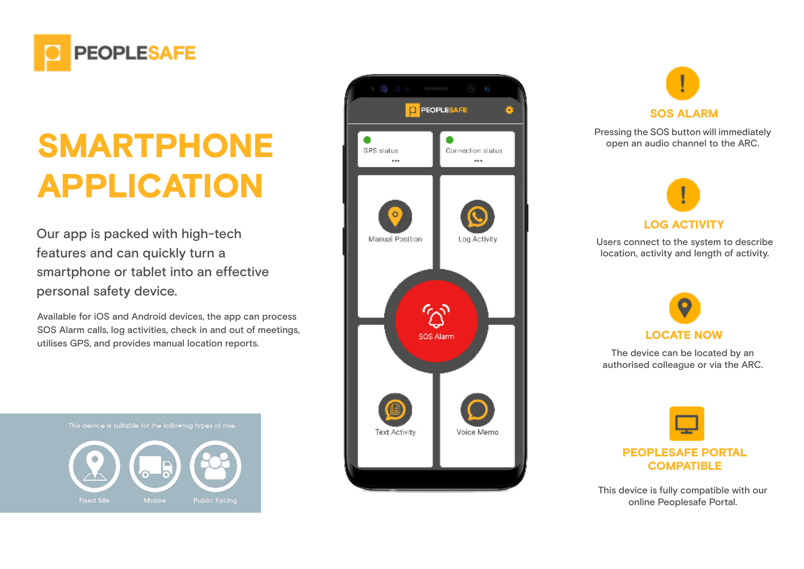

# SMARTPHONE APPLICATION

Our app is packed with high-tech features and can quickly turn a smartphone or tablet into an effective personal safety device.

Available for iOS and Android devices, the app can process SOS Alarm calls, log activities, check in and out of meetings, utilises GPS, and provides manual location reports.

This device is suitable for the following types of role:







Pressing the SOS button will immediately open an audio channel to the ARC.



Users connect to the system to describe location, activity and length of activity.



The device can be located by an authorised colleague or via the ARC.



This device is fully compatible with our online Peoplesafe Portal.